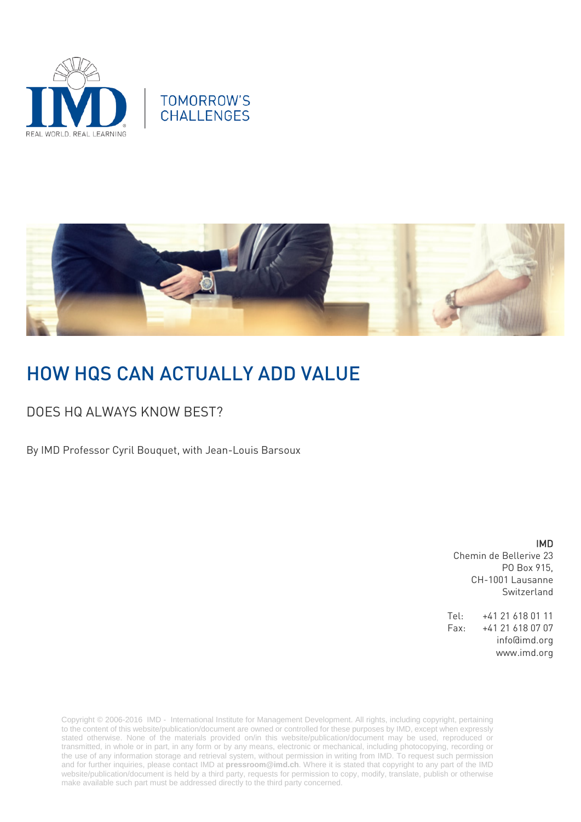



# HOW HQS CAN ACTUALLY ADD VALUE

## DOES HQ ALWAYS KNOW BEST?

By IMD Professor Cyril Bouquet, with Jean-Louis Barsoux

IMD Chemin de Bellerive 23 PO Box 915, CH-1001 Lausanne Switzerland

Tel: +41 21 618 01 11 Fax: +41 21 618 07 07 info@imd.org www.imd.org

Copyright © 2006-2016 IMD - International Institute for Management Development. All rights, including copyright, pertaining to the content of this website/publication/document are owned or controlled for these purposes by IMD, except when expressly stated otherwise. None of the materials provided on/in this website/publication/document may be used, reproduced or transmitted, in whole or in part, in any form or by any means, electronic or mechanical, including photocopying, recording or the use of any information storage and retrieval system, without permission in writing from IMD. To request such permission and for further inquiries, please contact IMD at **[pressroom@imd.ch](mailto:pressroom@imd.ch)**. Where it is stated that copyright to any part of the IMD website/publication/document is held by a third party, requests for permission to copy, modify, translate, publish or otherwise make available such part must be addressed directly to the third party concerned.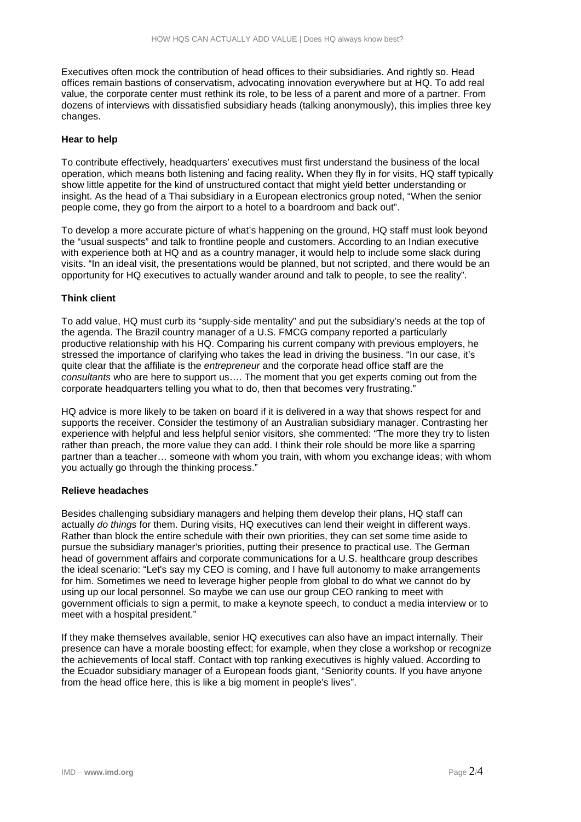Executives often mock the contribution of head offices to their subsidiaries. And rightly so. Head offices remain bastions of conservatism, advocating innovation everywhere but at HQ. To add real value, the corporate center must rethink its role, to be less of a parent and more of a partner. From dozens of interviews with dissatisfied subsidiary heads (talking anonymously), this implies three key changes.

### **Hear to help**

To contribute effectively, headquarters' executives must first understand the business of the local operation, which means both listening and facing reality**.** When they fly in for visits, HQ staff typically show little appetite for the kind of unstructured contact that might yield better understanding or insight. As the head of a Thai subsidiary in a European electronics group noted, "When the senior people come, they go from the airport to a hotel to a boardroom and back out".

To develop a more accurate picture of what's happening on the ground, HQ staff must look beyond the "usual suspects" and talk to frontline people and customers. According to an Indian executive with experience both at HQ and as a country manager, it would help to include some slack during visits. "In an ideal visit, the presentations would be planned, but not scripted, and there would be an opportunity for HQ executives to actually wander around and talk to people, to see the reality".

### **Think client**

To add value, HQ must curb its "supply-side mentality" and put the subsidiary's needs at the top of the agenda. The Brazil country manager of a U.S. FMCG company reported a particularly productive relationship with his HQ. Comparing his current company with previous employers, he stressed the importance of clarifying who takes the lead in driving the business. "In our case, it's quite clear that the affiliate is the *entrepreneur* and the corporate head office staff are the *consultants* who are here to support us…. The moment that you get experts coming out from the corporate headquarters telling you what to do, then that becomes very frustrating."

HQ advice is more likely to be taken on board if it is delivered in a way that shows respect for and supports the receiver. Consider the testimony of an Australian subsidiary manager. Contrasting her experience with helpful and less helpful senior visitors, she commented: "The more they try to listen rather than preach, the more value they can add. I think their role should be more like a sparring partner than a teacher… someone with whom you train, with whom you exchange ideas; with whom you actually go through the thinking process."

#### **Relieve headaches**

Besides challenging subsidiary managers and helping them develop their plans, HQ staff can actually *do things* for them. During visits, HQ executives can lend their weight in different ways. Rather than block the entire schedule with their own priorities, they can set some time aside to pursue the subsidiary manager's priorities, putting their presence to practical use. The German head of government affairs and corporate communications for a U.S. healthcare group describes the ideal scenario: "Let's say my CEO is coming, and I have full autonomy to make arrangements for him. Sometimes we need to leverage higher people from global to do what we cannot do by using up our local personnel. So maybe we can use our group CEO ranking to meet with government officials to sign a permit, to make a keynote speech, to conduct a media interview or to meet with a hospital president."

If they make themselves available, senior HQ executives can also have an impact internally. Their presence can have a morale boosting effect; for example, when they close a workshop or recognize the achievements of local staff. Contact with top ranking executives is highly valued. According to the Ecuador subsidiary manager of a European foods giant, "Seniority counts. If you have anyone from the head office here, this is like a big moment in people's lives".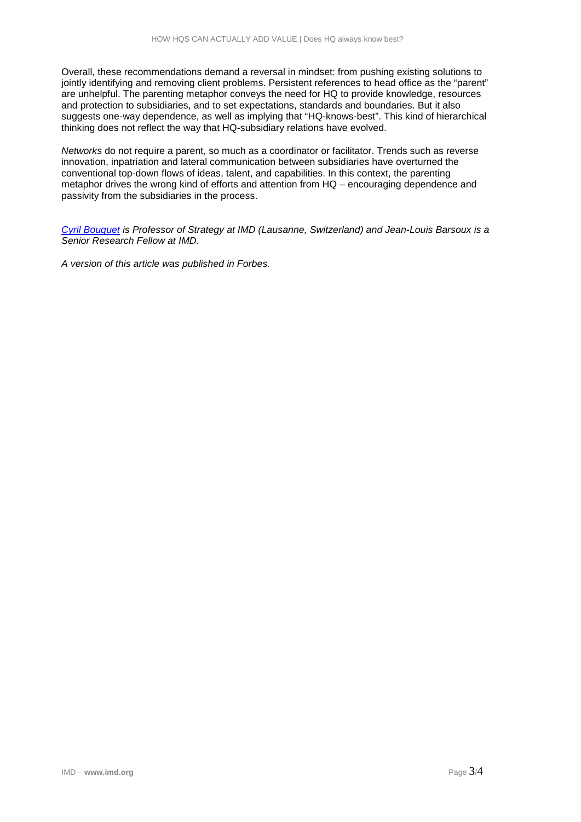Overall, these recommendations demand a reversal in mindset: from pushing existing solutions to jointly identifying and removing client problems. Persistent references to head office as the "parent" are unhelpful. The parenting metaphor conveys the need for HQ to provide knowledge, resources and protection to subsidiaries, and to set expectations, standards and boundaries. But it also suggests one-way dependence, as well as implying that "HQ-knows-best". This kind of hierarchical thinking does not reflect the way that HQ-subsidiary relations have evolved.

*Networks* do not require a parent, so much as a coordinator or facilitator. Trends such as reverse innovation, inpatriation and lateral communication between subsidiaries have overturned the conventional top-down flows of ideas, talent, and capabilities. In this context, the parenting metaphor drives the wrong kind of efforts and attention from HQ – encouraging dependence and passivity from the subsidiaries in the process.

*[Cyril Bouquet](http://www.imd.org/about/facultystaff/Bouquet.cfm) is Professor of Strategy at IMD (Lausanne, Switzerland) and Jean-Louis Barsoux is a Senior Research Fellow at IMD.*

*A version of this article was published in Forbes.*